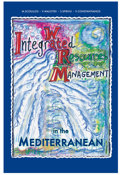### M.SCOULLOS · V.MALOTIDI · S.SPIROU · V.CONSTANTIANOS

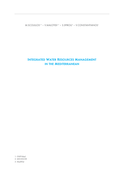M.SCOULLOS<sup>1,2</sup> • V.MALOTIDI<sup>1,2</sup> • S.SPIROU<sup>3</sup> • V.CONSTANTIANOS<sup>1</sup>

# **INTEGRATED WATER RESOURCES MANAGEMENT IN THE MEDITERRANEAN**

1: GWP-Med 2: MIO-ESCDE 3: MedWet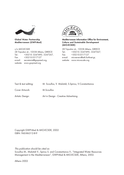

**Global Water Partnership Mediterranean (GWP-Med)** 

c/o MIO-ECSDE 28 Tripodon str., 10558 Athens, GREECE Tel.: +30210- 3247490, -3247267, Fax: +30210-3317127 e-mail: secretariat@gwpmed.org, website: www.gwpmed.org



**Mediterranean Information Office for Environment, Culture and Sustainable Development (MIO-ECSDE)**

28 Tripodon str., 10558 Athens, GREECE Tel.: +30210- 3247490, -3247267, Fax: +30210-3317127 e-mail: mio-ee-env@ath.forthnet.gr, website: www.mio-ecsde.org

| Text & text editing: | M. Scoullos, V. Malotidi, S.Spirou, V.Constantianos |
|----------------------|-----------------------------------------------------|
| Cover Artwork:       | M.Scoullos                                          |

Artistic Design: Art in Design - Creative Advertising

Copyright GWP-Med & MIO-ECSDE, 2002 ISBN: 960-86312-8-9

This publication should be cited as:

Scoullos M., Malotidi V., Spirou S. and Constantianos V., "Integrated Water Resources Management in the Mediterranean", GWP-Med & MIO-ECSDE, Athens, 2002.

Athens 2002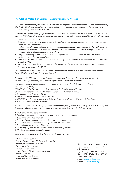### **The Global Water Partnership - Mediterranean (GWP-Med)**

The Global Water Partnership-Mediterranean (GWP-Med) is a Regional Water Partnership of the Global Water Partnership (GWP). GWP-Med, in its present form, was created in 2002 and it is the successor partnership to the Mediterranean Technical Advisory Committee of GWP (MEDTAC).

GWP-Med is a platform bringing together competent organisations working regularly on water issues in the Mediterranean region. GWP-Med goal is to promote and exchange knowledge on IWRM for the sustainable use of the region's water resources.

To achieve its goal, GWP-Med:

- Promotes and sustains a strong partnership in the Mediterranean among competent organisations that have an impact on water management.
- Makes the principles of sustainable use and integrated management of water resources (IWRM) widely known, recognised and applied by countries and all other stakeholders in the Mediterranean, through appropriate mechanisms for sharing information and experience.
- Supports exemplary actions at local, national and regional level that demonstrate the value applicability and positive impact of the above principles.
- Seeks and facilitates the appropriate international funding and involvement of international institutions for activities promoting IWRM.
- Introduces, helps to implement and adapts to the specificities of the Mediterranean region, global initiatives launched or adopted by the GWP.

To deliver its work in the region, GWP-Med has a governance structure with four bodies: Membership Platform, Partnership Council, Advisory Board, and Secretariat.

Currently, the GWP-Med Membership Platform brings together 7 major Mediterranean networks of major stakeholders and, furthermore, 32 competent organisations, institutes and companies.

The present members of the Partnership Council are representatives of the following regional networks: Blue Plan (MAP/UNEP) CEDARE - Centre for Environment and Development in the Arab Region and Europe CIHEAM - International Centre for Advanced Mediterranean Agronomic Studies IME - Mediterranean Institute for Water MedWet - The Mediterranean Wetlands Initiative MIO-ECSDE - Mediterranean Information Office for Environment, Culture and Sustainable Development MWN - Mediterranean Water Network

At present, GWP-Med while solidifying and expanding the regional partnership, is working to achieve its main goals through its elaborate annual Work Programme of activities which focuses on the following areas:

- 1. Establishing on the ground partnerships
- 2. Developing awareness and changing attitudes towards water management
- 3. Supporting established alliances
- 4. Forming alliances with key international and regional organisations
- 5. Generating and disseminating knowledge about IWRM good practices
- 6. Supporting dialogue on key IWRM issues
- 7. Completing regional Frameworks for Action and prioritising actions
- 8. Identifying and supporting special studies

Some of the specific topics which GWP-Med's work focuses on are:

- Effective Water Governance
- Raising of Awareness and Political Will for IWRM
- Educating the Youth about Water
- Groundwater Management
- Drought Management
- Water, Food and Environmental Interaction
- Water and Poverty
- Water and Climate Change
- Water Demand Management

For more information, please contact: GWP-Mediterranean Secretariat c/o MIO-ECSDE Tripodon 28, 10558 Athens, Greece Tel.: +30210-3247490, -3247267 Fax: +30210-3317127 e-mail: secretariat@gwpmed.org website: www.gwpmed.org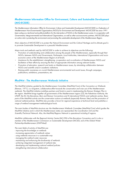# **Mediterranean Information Office for Environment, Culture and Sustainable Development (MIO-ECSDE)**

The Mediterranean Information Office for Environment, Culture and Sustainable Development (MIO-ECSDE) is a Federation of Mediterranean Non-Governmental Organizations (NGOs) for Environment and Development. MIO-ECSDE has since 1991 been acting as a technical and political platform for the intervention of NGOs in the Mediterranean scene. In co-operation with Governments, Intergovernmental and International Organisations, as well as other socio-economic partners, MIO-ECSDE plays an active role in protecting the environment and promoting the sustainable development of the Mediterranean Region.

Main objective of MIO-ECSDE is to protect the Natural Environment and the Cultural Heritage and its ultimate goal is to promote Sustainable Development in a peaceful Mediterranean.

Major tools and methods used by MIO-ECSDE in order to achieve its objectives are the following:

- Promotion of understanding and collaboration among the people of the Mediterranean, especially through their NGOs, between NGOs and Governments, Parliaments, Local Authorities, International Organizations and socioeconomic actors of the Mediterranean Region at all levels.
- Assistance for the establishment, strengthening, co-operation and co-ordination of Mediterranean NGOs and facilitation of their efforts by ensuring the flow of appropriate information among relevant bodies.
- Promotion of education, research and study on Mediterranean issues, by stimulating collaboration between NGOs and scientific and/or academic institutions.
- Raising public awareness on crucial Mediterranean environmental and social issues, through campaigns, publications, exhibitions, presentations, etc.

#### **MedWet - The Mediterranean Wetlands Initiative**

The MedWet initiative, guided by the Mediterranean Committee (MedWet/Com) of the Convention on Wetlands (Ramsar, 1971), is a long-term, collaborative effort towards the conservation and wise use of the Mediterranean wetlands. The MedWet initiative mobilises partners and funds to assist in implementing the Ramsar Strategic Plan in the region. MedWet brings together all governments of the Mediterranean region (25), the Palestinian Authority, the UNDP, the EU, the Barcelona, Bern and Ramsar Conventions and 8 international NGOs and wetlands centres. Basic parts of the MedWet activity are the conservation actions at wetlands (especially Ramsar Sites) and the promotion of national wetland policies. MedWet also provides a forum for regional experience at technical level and publishes a range of wetland management methodological tools.

The main bodies of MedWet structure are: the Mediterranean Wetlands Committee (MedWet/Com) which guides the MedWet initiative and in which the Mediterranean states are represented, the Coordination Unit and the Scientific/Technical Network. Also, the MedWet/Regions Network is operational including 8 regions.

MedWet collaborates with the Regional Activity Centre RAC/SPA of the Barcelona Convention and it is also a member of the Mediterranean Commission on Sustainable Development (MCSD), and of the Global Water Partnership-Mediterranean (GWP-Med).

The main fields of activity of MedWet are:

- improving the knowledge on wetlands
- increasing appreciation of wetlands values
- using wetlands resources in a sustainable way
- managing the wetland water resources
- maintaining and enhancing the biodiversity of wetlands
- achieving integrated management of wetland sites
- developing and implementing national wetland policies
- strengthening international collaboration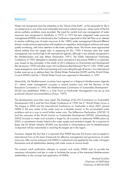# **PREFACE**

Water was recognized since the antiquities as the "blood of the Earth", as the perquisite for life in our planet and as one of the most vulnerable and scarce natural resources, where some of the first serious pollution problems were recorded. The need for careful and wise management of water resources was recognized in Stockholm, in 1972. In 1977 the term integrated water resources management (IWRM) was introduced in the Conference organized in Mar del Plata as an attempt to resolve conflicting uses of water resources. In the 1980's water management followed different diverse, mostly sectoral approaches with emphasis on regulation, technological solutions and water quality monitoring, with minor attention to the water quantity issues. The former were approached almost entirely from the supply side. In preparing for Rio, 1992 it became clear that water management was not that high in the international agenda, although it was already recognized in the Mediterranean one (see Athens Declaration 1991). The Dublin International Freshwater Conference of 1992 attempted to stimulate action and place in the picture IWRM in a systematic way, based on key principles. In the results of UN Conference on Environment and Development (Rio de Janeiro 1992) and other major UN Conferences that followed ("Rio+5" CSD, 1998) water issues emerged as some of the most pressing and cross-cutting through all sectors. Two international bodies were set up to address them: the Global Water Partnership (GWP) and the World Water Council (WWC) and the 1<sup>st</sup> World Water Forum was organized in Marrakech, in 1997.

Meanwhile, the Mediterranean countries have agreed on a Regional Mediterranean Agenda 21, where water management occupies a central position and with the Revision of the Barcelona Convention in 1995, the Mediterranean Commission of Sustainable Development - MCSD was established. Within it, a Task Force on Freshwater Management was set up and produced relevant recommendations (Frejus, 1997).

The developments since then were rapid. The meetings of the UN Commission on Sustainable Development CSD 6 and the Paris Water Conference of 1998, the 2<sup>nd</sup> World Water Forum in The Hague in 2000 and the International Conference on Freshwater in Bonn 2001 placed IWRM in the very center of the water issue as a feasible answer to the accumulated water problems and as a way to avoid further water crisis. The Millennium Declaration, UNCSD 10 and the outcomes of the World Summit on Sustainable Development (WSSD, Johannesburg 2002) focused on water and included a target for all countries to elaborate IWRM plans by 2005, a commitment closely linked to the water supply and sanitation targets. As a response to these, the EU Water Initiative (EUWI) was launched in Johannesburg and its Mediterranean Component will be instrumental in reaching the targets set in the region.

However, despite the fact that it is important that IWRM become first known and accepted in International Fora as the basic framework for effective management and governance of water resources, little can be achieved until IWRM is understood and applied by the water managers themselves and all stakeholders dealing with water issues at various levels.

The present small publication attempts to present and clarify IWRM and to provide the necessary information and tips in order to facilitate the access of the interested Mediterranean stakeholders to the concept and application of IWRM.

> Michael Scoullos Chairman of GWP-Med Chairman of MIO-ECSDE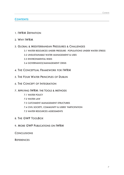# **CONTENTS**

- 1. IWRM DEFINITION
- 2. WHY IWRM
- 3. GLOBAL & MEDITERRANEAN PRESSURES & CHALLENGES
	- 3.1 WATER RESOURCES UNDER PRESSURE POPULATIONS UNDER WATER STRESS
	- 3.2 UNSUSTAINABLE WATER MANAGEMENT & USES
	- 3.3 ENVIRONMENTAL RISKS
	- 3.4 GOVERNANCE/MANAGEMENT CRISIS
- 4. THE CONCEPTUAL FRAMEWORK FOR IWRM
- 5. THE FOUR WATER PRINCIPLES OF DUBLIN
- 6. THE CONCEPT OF INTEGRATION
- 7. APPLYING IWRM: THE TOOLS & METHODS
	- 7.1 WATER POLICY
	- 7.2 WATER LAW
	- 7.3 CATCHMENT MANAGEMENT STRUCTURES
	- 7.4 CIVIL SOCIETY, COMMUNITY & USERS' PARTICIPATION
	- 7.5 WATER RESOURCES ASSESSMENTS
- 8. THE GWP TOOLBOX
- 9. MORE GWP PUBLICATIONS ON IWRM

**CONCLUSIONS** 

**REFERENCES**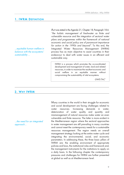### **1. IWRM DEFINITION**

…equitable human welfare in balance with the ecosystems' sustainability …

As it was stated in the Agenda 21, Chapter 18, Paragraph 18.6: "the holistic management of freshwater as finite and vulnerable resource and the integration of sectoral water <sup>p</sup>lans and programmes within the framework of national economic and social policy are of paramount importance for action in the 1990s and beyond". To this end, the Integrated Water Resources Management (IWRM) process has as main objective to assist countries in their endeavour to deal with water issues in an efficient and sustainable way.

IWRM is a process which promotes the co-coordinated development and management of water, land and related resources, in order to maximize the resultant economic and social welfare in an equitable manner without compromising the sustainability of vital ecosystems.

GWP/TAC<sup>1</sup>

#### **2. WHY IWRM**

…the need for an integrated approach…

Many countries in the world in their struggle for economic and social development are facing challenges related to water resources. Increasing demands in water, deterioration of water quality and quantity and mismanagement of natural resources make water an even vulnerable and finite resource. The latter is more evident in the Mediterranean region where the sectoral approaches in water management are still prevailing in many countries and cannot meet the contemporary needs for a sustainable resources management. The region needs an overall management strategy looking at the entire water cycle and integrating the environmental, social, and economic parameters. In addressing these, the three basic pillars of IWRM are: the enabling environment of appropriate policies and laws, the institutional roles and framework and, the management instruments for the institutions to apply on a daily basis. In the following chapter the contemporary pressures and challenges for IWRM are further presented at global as well as at Mediterranean level.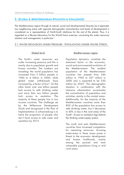# **3. GLOBAL & MEDITERRANEAN SITUATION & CHALLENGES**

The Mediterranean region through its natural, social and developmental diversity (as it separates two neighboring areas with opposite demographic characteristics and levels of development) is considered as a representative of North-South interfaces for the rest of the planet. Thus, it is regarded as a life-size laboratory for the World Vision exercise, concerning the water resources situation and management, in particular.<sup>4</sup>

#### 3.1 WATER RESOURCES UNDER PRESSURE - POPULATIONS UNDER WATER STRESS

# **Global level**

The Earth's water resources are under increasing pressure and this is mainly due to population growth and human activities. The numbers are revealing: the world population has increased from 3 billion people in 1960 to 6 billion in 2000, while global water withdrawals have increased by a factor of four<sup>2</sup>. On the other hand, over one billion people lack access to safe drinking water and more than two billion people lack access to sanitation. The majority of these people live in low income countries. The challenge set by the Millennium Development Goals and recognized in the Plan of Implementation in Johannesburg is to halve the proportion of people who don't have access to safe water and sanitation by 2015.

#### **Mediterranean region**

Population dynamics constitute the dominant factor in the economic, social and environmental evolution of the Mediterranean. The resident population of the Mediterranean countries has jumped from 246 million in 1960 to 427 million in 2000 and is expected to be 550 million by 2025<sup>3</sup>. This demographic situation in combination with the intensive urbanization accentuates the concentration of population and activities, mainly in the coastal areas. Additionally, for the majority of the Mediterranean countries more than 80% of the population has access to safe drinking water, but it decreases to 60% or less in the rural areas of the South<sup>4</sup>. Access to sanitation lags behind the drinking water-supply system.

The south and east Mediterranean countries face increased competition for remaining resources. Growing water-stress in these areas poses a threat to the economic development and human livelihoods, mainly among the poorest and most vulnerable populations living in arid rural areas.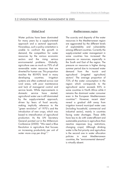#### **Global level**

Water policies have been dominated for many years by a supply-oriented approach and a sectoral approach. Nowadays, such a policy orientation is unable to confront the growth in demand, the competition for water resources by the various economic sectors and the rising serious environmental problems. Globally, agriculture uses as much as 70% of all renewable water resources that are diverted for human use. This proportion reaches the 80-90% level in many developing countries. Irrigation systems are often scattered across vast rural areas, with poor maintenance and lack of managerial control and service levels. While improvements in domestic service have started, agricultural water use is still dominated by the supply-oriented approach, driven by fears of food security, making implicitly reference to the "green revolution" of 1970's and the introduction of new crops, which was based to intensification of agricultural production. As the UN Secretary General pointed out in the Millennium Conference (2000): "We need a Blue Revolution in agriculture that focuses on increasing productivity per unit of water -more crop per drop".<sup>5</sup>

#### **Mediterranean region**

The scarcity and disparity of the water resources in the Mediterranean region are aggravated by the different levels of exploitability and vulnerability among different countries. Currently the supply-oriented water management in some countries has increased the pressures on resources, especially in the South and East of the region. The pressure on resources is higher during summer period due to increased water demand from the tourist and agricultural (irrigated agriculture) sectors4 . The average proportion of 72% of the water consumption in the region which corresponds to the agricultural sector exceeds 85% in some countries in North Africa while it remains the dominant water consumer even in the European Mediterranean countries<sup>4,6</sup>. However, recent data<sup>4</sup> reveal a gradual shift away from irrigation toward municipal water uses (including household, commercial and industrial sector), mainly in countries facing water shortages. These shifts have less to do with water-efficient and sustainable practices in agriculture than reactive responses (e.g. restrictions, changing crops). Although drinking water is the first priority and agriculture is the second one in water allocation policies in most Mediterranean countries, the "environmental demand" is virtually absent.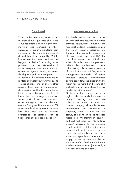#### 3.3 ENVIRONMENTAL RISKS

#### **Global level**

Water bodies worldwide serve as the recipient of huge quantities of all kinds of wastes discharges from agricultural, industrial and domestic activities. Emissions of organic pollutants from industrial activities are a major cause of degradation of water quality. Middle income countries seem to have the biggest contribution.<sup>7</sup> Increasing water pollution causes the deterioration of water quality and threatens human and aquatic ecosystems health, economic development and social prosperity.

In addition, the extreme variations in rainfalls and water flows whether due to climatic changes and/or due to other reasons (e.g. land mismanagement, deforestation, etc.) lead to droughts and floods followed by large scale loss of human lives and damage to economic, social, cultural and environmental assets. Among the latter soils suffer from erosion. During the 90's more than 90% of the people killed by natural hazards lost their lives due to extreme hydrological phenomena such as floods, droughts and tropic cyclones.<sup>5</sup>

#### **Mediterranean region**

The Mediterranean Sea faces heavy pollution problems, resulting from human activities (agricultural, industrial and residential) on land. In addition, many of the region's aquatic ecosystems are threatened because of the deterioration of water quality and quantity.<sup>6</sup> The coastal ecosystems are at their most vulnerable in the face of the process to built-up the Mediterranean coasts. Urbanisation, pollution, over-exploitation of natural resources and fragmentation management approaches of natural resources pressure Mediterranean aquatic ecosystems and biodiversity. The region has lost more than the 50% of its wetlands and in some places this rate reaches the 90% or more.<sup>4,6</sup>

On the other hand, many parts of the region suffer frequently from years of drought, resulting from the overutilisation of water resources and climatic changes, while urbanization, deforestation, etc. contribute to temporary floods. During the 20<sup>th</sup> century at least fifteen floods had been recorded in Mediterranean countries and each took more than 100 to 1000 victims.<sup>6</sup> Sensitivity to the increased climate variability of the region would be greatest in water resources systems under demand-supply stress or due to water quality problems or where natural supply and use are closely matched, as in the case of the Southern and Eastern Mediterranean countries (particularly in their semi-arid and arid parts).8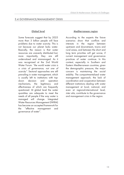#### **Global level**

Some forecasts suggest that by 2025 more than 3 billion people will face problems due to water scarcity. This is not because our planet lacks water. Basically, the reason is that water resources are unevenly distributed but, more importantly, they are still undervalued and mismanaged. As it was recognized at the 2nd World Water Forum: "the world water crisis is a crisis of governance, not one of scarcity". Sectoral approaches are still prevailing in water management, which is usually left to institutions with topdown decision and operation mechanisms, the legitimacy and effectiveness of which are frequently questioned. At global level the water quantities are adequate to meet the needs of all people if the way water is managed will change. Integrated Water Resources Management (IWRM) has become an accepted framework for the "effective management and governance of water".

#### **Mediterranean region**

According to the experts the future scenarios show that conflicts and interests in the region between upstream and downstream, towns and rural areas, and between the short and long term priorities will get worse, if current management and governance practices of water continue. In this context, especially in Southern and Eastern Mediterranean countries, given the demographic pressure, the major concern is maintaining the social stability. The compartmentalized water management approach, the lack of coordination and cooperation between different institutions dealing with water management at local, national, and even at regional-international level, inter alia, contribute to the governance and management crisis in the region.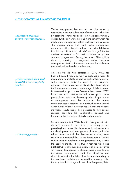### **4. THE CONCEPTUAL FRAMEWORK FOR IWRM**

…domination of sectoraloriented water management…

…widely acknowledged need for IWRM & but conceptually debated…

…a balancing process…

Water management has evolved over the years by responding to the particular needs of each sector rather than by balancing overall needs. The result has been vertically divided functions in water use and management which has made water management rather inefficient in most cases. The skeptics argue that most water management approaches will continue to be based on sectoral divisions, thus the key is to look for "win-win" solutions: policies that facilitate immediate action and contribute to gradual structural changes within/among the sectors. <sup>9</sup> This could be done by creating an Integrated Water Resources Management (IWRM) framework in which the challenges and needs will be faced in a holistic way.

Since the Mar del Plata conference, 1977, IWRM has been advocated widely as the most sustainable means to incorporate the multiple competing and conflicting uses of water resources. While the need for an integrated approach of water management is widely acknowledged, the literature demonstrates a wide range of definitions and implementation approaches. Some analysts present IWRM from a theoretical perspective and others apply a more practical interpretation to the concept, describing it as a set of management tools that recognizes the greater interrelatedness of resources and uses with each other and within a total system.<sup>10</sup> However, the regional and national institutions should adapt their practices to their special realities, consulting the collaborative concept and framework that it emerges globally and regionally.

So, one can say that IWRM is not a final product but a dynamic process. In fact, it is a balancing process providing for an ensemble of means, tools and methods for the development and management of water and other related resources with the objective of attaining water security and sustainability. In the framework of IWRM implementing one policy or management tool may result in the need to modify others; thus it requires vision and **political will** to introduce and mainly to implement.<sup>11</sup> By its very nature, the approach challenges existing orientations, institutional arrangements and the objectives and character of sectoral policies. Thus, the **understanding** by the people and institutions of the need for change and also the way in which change will take place is a prerequisite.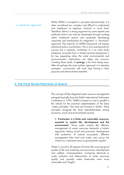While IWRM is accepted in principle internationally, it is often considered too complex and difficult to understand and implement at regional, national or local level. Therefore, there is a strong argument by some experts and politicians that it can only be developed through working within traditional sectors and gradually developing capacities and mechanisms for integration: a "twin-track" approach. The need for an IWRM framework will require enhanced policy coordination. This is not a prerequisite for success but it certainly contributes to it as what looks extremely successful from a limited sectoral perspective is far less appealing when the wider environmental and socio-economic implications are taken into account. Creating these levels of **synergy** is far from being easy. After all perhaps the most realistic approach is to develop synergies successively with each step having a clear purpose and demonstrative benefits.<sup>9</sup> …a "twin-track" approach…

# **5. THE FOUR WATER PRINCIPLES OF DUBLIN**

The concept of fully integrated water resource management emerged basically from the Dublin International Freshwater Conference in 1992. IWRM is based on and in parallel is the vehicle for the practical implementation of the basic "water principles" that were put forward in Dublin. These principles recognise the close interrelationships among economic, social and environmental security.

**1. Freshwater is a finite and vulnerable resource, essential to sustain life, development and the environment:** "Since water sustains life, effective management of water resources demands a holistic approach, linking social and economic development with protection of natural ecosystems. Effective management links land and water uses across the whole of a catchment area or groundwater aquifer".

Water is crucial to all aspects of human life, ensuring good quality of life and sustaining socio-economic development and welfare. Overpopulation, increasing demands in water, pollution and deterioration of water resources quality and quantity make freshwater even more vulnerable and "fragile".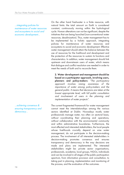…integrating policies for maintenance of water resources and ecosystems to social and economic development…

…achieving consensus & ensuring transparency and democracy…

On the other hand freshwater is a finite resource, with natural limits: the total amount on Earth is considered constant, continuously moving within the hydrological cycle. Human alterations can not be significant, despite the initiatives that are being launched (non-conventional water resources, desalinization). Thus, water management has to be implemented by a holistic approach, integrating policies for maintenance of water resources and ecosystems to social and economic development. Effective water management should attain the balance between the use of resources for the livelihood and development and the protection of the resources to sustain its functions and characteristics. In addition, water management should link upstream and downstream users of water, which means that dialogue and conflict resolution are needed in order to meet the needs of both and to reconcile them.

**2. Water development and management should be based on a participator approach, involving users, planners and policy-makers:** "The participatory approach involves raising awareness of the importance of water among policy-makers and the general public. It means that decisions are taken at the lowest appropriate level, with full public consultation and involvement of users in the planning and implementation of water projects".

The current fragmented framework for water management cannot meet the interrelationships among the various sectors identified at Dublin. Nowadays mostly water professionals manage water, too often on sectoral basis, without coordinating their planning and operations, without collaboration with the environmental community and within administrative boundaries. Furthermore, the most affected and interested stakeholders, the local people whose livelihoods crucially depend on wise water management, do not participate in the decision-making process. The involvement of all interested stakeholders in decision-making promotes consensus and ensures transparency and democracy in the way decisions are made and plans are implemented. The interested stakeholders might be: private sector organisations, professionals, academia, local groups, NGOs, individuals and can be involved in all stages of the public participation spectrum, from information provision and consultation, to taking part in planning, implementation and monitoring of the process, and the evaluation of the outcomes.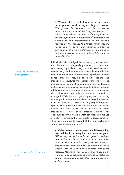**3. Women play a central role in the provision, management and safeguarding of water:** "This pivotal role of women as providers and users of water and guardians of the living environment has seldom been reflected in institutional arrangements for the development and management of water resources. Acceptance and implementation of this principle requires positive policies to address women' specific needs and to equip and empower women to participate at all levels in water resources programmes, including decision-making and implementation, in ways defined by them".

It is widely acknowledged that women play a key role in the collection and safeguarding of water for domestic and very often, agricultural use, in rural Mediterranean communities, but they have much less influential role than men in management and decision-making related to water issues. This has resulted to facility designs and management structures that hamper effective use and management. The role of women (and of men) as decisionmakers varies among societies. Socially defined roles and relations of women and men -differentiated by age, social class, ethnic group and religion- determine how water is managed. While there is a general progress in increasing women participation, some societies maintain barriers that must be taken into account in designing management systems. Participatory process must be established so that women and men jointly make decisions on water management issues. Such processes provide for opportunities for women to benefit equitably from the use of water resources and to participate in decision-making. Thus, there is a need to ensure that the water sector as a whole must be gender aware.<sup>1</sup>

#### **4. Water has an economic value in all its competing uses and should be recognised as an economic good:**

"Within this principle, it is vital to recognize first the basic right of all human beings to have access to clean water and sanitation at an affordable price. Past failure to recognize the economic value of water has led to wasteful and environmentally damaging uses of the resource. Managing water as an economic good is an important way of achieving efficient and equitable use and of encouraging conservation and protection of water resources".

…a gende- aware water management…

…economic & intrinsic value of water…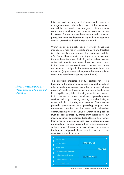It is often said that many past failures in water resources management are attributable to the fact that water was and still is considered as a free good. It is much more correct to say that failures are connected to the fact that the full value of water has not been recognized. However, particularly in the Mediterranean region the non-economic value of water should not be underestimated.

Water, as air, is a public good. However, its use and management requires investments and costs and therefore its value has two components: the economic and the intrinsic one. The economic value depends on the user and the way the water is used, including value to direct users of water, net benefits from return flows, net benefits from indirect uses and the contribution of water towards the attainment of social goals. The intrinsic value includes nonuse values (e.g. existence values, values for nature, cultural values and social values-see the figure below).<sup>1</sup>

This approach indicates that full cost-recovery refers basically to the economic value and it cannot include all other aspects of its intrinsic value. Nevertheless, "full cost recovery" should be the objective for almost all water uses. In a simplified way full-cost pricing of water recommends that consumers be charged the full cost of providing water services, including collecting, treating, and distributing of water and also, disposing of wastewater. This does not preclude governments from providing targeted and transparent subsidies to the poor and vulnerable, acknowledging the social value of water. Pricing policies must be accompanied by transparent subsidies to lowincome communities and individuals allowing them to meet their minimum requirements and also, encouraging user participation in decision-making. Such a pricing approach will encourage infrastructure investments and private sector involvement and provide the revenue to cover the costs of operation and maintenance.<sup>1</sup>



…full-cost recovery strategies without burdening the poor and vulnerable…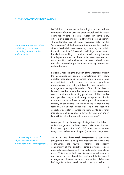# **6. THE CONCEPT OF INTEGRATION**

…managing resources with a holistic way, balancing competing demands in the various sectors…

IWRM looks at the entire hydrological cycle and the interaction of water with the other natural and the socioeconomic systems. The same water can serve many different purposes and uses in different places and sectors. The sustainable use of water resources calls for the "overstepping" of the traditional boundaries: they must be viewed in a holistic way, balancing competing demands in the various sectors.<sup>11</sup> A systemic and integrated approach for decision making is required which recognises the interdependence of the three main areas: environment, social stability and welfare and economic development and also, acknowledges the interrelationships among the included sectors.

Especially regarding the situation of the water resources in the Mediterranean region, characterized by supply oriented management; resources under pressure and overexploited, partly due to social problems; environmental quality degradation, the need for a holistic management strategy is evident. One of the lessons learned over the years is that the technical solutions alone cannot provide the increasing population of this complex and "peculiar" region with adequate quantities of safe water and sanitation facilities and, in parallel, maintain the integrity of ecosystems. The region needs to integrate the technical, institutional, managerial, social and economic aspects of its water resources implications into an overall management strategy able to bring its water demand in line with its natural renewable water resources.<sup>12</sup>

More specifically, the concept of integration of policies on water management can be explained better when it is seen from two aspects: the horizontal aspect (cross sectoral integration) and the vertical aspect (sub-sectoral integration).

…compatibility of sectoral objectives with those of sustainable water management… As far as the **horizontal integration** is concerned (integrating policies among various sectors) this involves the coordination and mutual coherence and ideally, compatibility of the objectives among different sectoral policies (in agriculture, industry, domestic sector, ecosystems, etc.). IWRM implies that water issues within all economic and social sectors should be considered in the overall management of water resources. Thus, water policies must be integrated with economic as well as sectoral policies.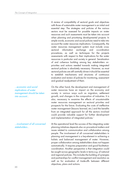A review of compatibility of sectoral goals and objectives with those of sustainable water management is an initial and essential step. The strategies and policies of the various sectors must be assessed for possible impacts on water resources and such assessments must be taken into account when planning and prioritizing developmental projects. In simple words, economic and social policies need to take into account the water resources implications. Consequently, the water resources management system must include crosssectoral information exchange and co-ordination procedures, as well as techniques for the projects assessments with respect to their implications for the water resources in particular and society in general. Sensitization of and cofsensus building among key stakeholders on priorities and actions needed towards making integrated sectoral policies is absolutely necessary. However, as most sectoral policies are still centrally driven it should be essential to establish mechanisms and structures of continuous evaluation and review of policies for monitoring, assessment and gradual readjustment of them.

On the other hand, the development and management of water resources have an impact on the economy and society in various ways such as migration, settlement growth, and changes in the composition of industries. It is also, necessary to examine the effects of unsustainable water resources management on sectoral priorities and prospects for the future. Evaluating the costs of ineffective water management (lessons learned, etc.) and the benefits from an integrated approach for all the sectors involved could provide valuable support for further development and implementation of integrated policies.<sup>1</sup>

At the operational level the success of the integrating water planning initiatives depends also on procedural matters and issues related to communication and collaboration among people. The involvement of all concerned stakeholders in planning and management is a key-element in achieving a holistic and balanced management of water. However, proper collaboration among stakeholders does not happen automatically. It requires preparation and good facilitationcoordination. Another perspective is that integration could be sought across geographic levels in terms e.g. of national and regional policies. This includes the building of synergies and partnerships for conflict management and resolution as well as for evaluation of trade-offs between different objectives, plans and actions.

…economic and social implications of water management should be taken into account…

…involvement of all concerned stakeholders…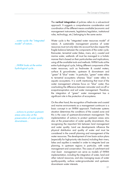The **vertical integration** of policies refers to a sub-sectoral approach. It suggests a comprehensive consideration and coordination of the different means available (economic and management instruments, legislation/regulation, institutional roles, technology, etc.) belonging to the same sector.

Water cycle is the "integrated water resources model" of nature. A sustainable management practice of water resources must not only take into account but also respect the fragile balance between the components of the water cycle. Rainwater, terrestrial water (lakes, rivers, etc.), coastal and marine water, wetlands: all must be managed in a holistic manner that is based on their particularities and implications, using all the available tools and methods. IWRM looks at the entire hydrological cycle, linking different components of the water resources, such as freshwater & coastal waters, surface & groundwater, upstream & downstream and "green" & "blue" water.<sup>1</sup> In particular, "green" water refers to terrestrial ecosystems whereas "blue" water refers to aquatic ecosystems. It is worth mentioning that most of the water management schemes focus on "blue" water, thus overlooking the difference between rainwater and run-off or evapotranspiration and soil water management. Therefore, the integration of "green" water management has a significant role in the protection of ecosystems.

On the other hand, the recognition of freshwater and coastal and marine environments as a management continuum is a basic concept in an IWRM approach. Freshwater systems situation determines the conditions of the coastal zone and this is the case of upstream-downstream management. The implementation of actions to protect upstream areas aims also at the preservation of water quality downstream, thus recognizing the important link between land management and water quality. Land use developments influence the physical distribution and quality of water and must be considered in the overall planning and management of the water resources. The development of river basin action plans (especially for high-priority risks basins) including their rivers, lakes and aquifers is needed in order to integrate land use planning, in upstream regions in particular, with water management and conservation. The cases of catchment and river basin management can serve as models of IWRM implementation, including the integration of water, land and other natural resources, and also managing issues of water quality-quantity, surface water-groundwater and upstreamdownstream water interests.

…water cycle: the "integrated model" of nature…

…IWRM looks at the entire hydrological cycle…

…actions to protect upstream areas aims also at the preservation of water quality downstream…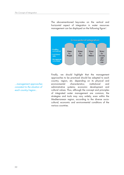The abovementioned key-notes on the vertical and horizontal aspect of integration in water resources management can be displayed on the following figure<sup>1</sup>:



Finally, we should highlight that the management approaches to be practiced should be adapted to each country, region, etc. depending on its physical and environmental characteristics; institutional and administrative systems; economic development and cultural values. Thus, although the concept and principles of integrated water management are common, the strategies and tools may vary widely, even within the Mediterranean region, according to the diverse sociocultural, economic and environmental conditions of the various countries.

…management approaches consistent to the situation of each country/region…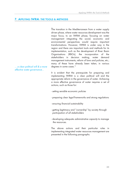# **7. APPLYING IWRM: THE TOOLS & METHODS**

The transition in the Mediterranean from a water supply driven phase, where water resources development was the major focus, to an IWRM phase, focusing on water management integrating the social, economic and environmental perspectives would require important transformations. However, IWRM is under way in the region and there are important tools and methods for its implementation, such as the development of River Basin Organisations (RBOs), the incorporation of the stakeholders in decision making, water demand management instruments, reform of laws and policies, etc.; many of these have already been taken, in various degrees in some cases.<sup>13</sup>

It is evident that the prerequisite for preparing and implementing IWRM is a clear political will and the appropriate reform in the governance of water. Achieving a more effective governance of water requires a set of actions, such as those for:

- setting sensible economic *policies*
- preparing clear *legal* frameworks and strong regulations
- ensuring financial sustainability
- getting legitimacy and "ownership" by society through participation of all stakeholders
- developing adequate *administrative capacity* to manage the resources.

The above actions and their particular roles in implementing integrated water resources management are presented in the following paragraphs.

… a clear political will & a more effective water governance…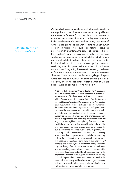#### 7.1 WATER POLICY

#### …an ideal policy & the "win-win" solutions …

An *ideal* IWRM policy should exhaust all opportunities to rearrange the bundles of water endowments among different users to attain **"win-win"** outcomes. In fact, the criterion for measuring the success of an IWRM policy can be that no further re-allocation of water could make any user better off without making someone else worse off including non-human or non-commercial uses, such as natural ecosystems preservation. In other terms, the only re-allocations left are of the "win-lose" type. For instance, a policy of re-cycling wastewater for irrigation could potentially leave both farmers and households better off and allow adequate water for the local wetlands and thus, be a "win-win" policy. However, continuing with this type of policy, at some point, will leave some worse off, regarding the contamination of groundwater or food set in making more recycling a "win-lose" outcome. The ideal IWRM policy, will implement recycling to the point where it still implies a "win-win" outcome and this is a ToolBox case-study of "Using Reclaimed Water in Amman Zarqua Basin" in Jordan (see the following text box)<sup>11</sup>.

A 25-year draft "Reclaimed Water Utilization Plan" -focused on the Amman-Zarqa Basin- has been prepared to support the implementation of Jordan's **water policies** and in consortium with a Groundwater Management Action Plan for the overpumped highland's aquifers. Development of the Plan required open discussion about acceptable use of reclaimed water and the appropriate standards, regulations to safeguard public health and the environment and potential impact on markets for irrigated crops. It also required examination of a wide range of interrelated options of water use and management, from industrial applications and replacing groundwater used for irrigation in the highlands, to replacing freshwater currently used in the Jordan valley for irrigation with reclaimed water. The plan also considered requirements such as protecting the public, conserving resources (water, land, vegetation, etc.), complying with international treaties and ensuring environmentally sound practices and included some supporting actions. Supporting actions were: proposals for *on-farm water* management, a regulatory framework, water improvement quality plans, monitoring and information management and crop marketing plans. Some of the lessons learned were: standards and regulations tailored to specific uses gain wider acceptance than one standard for all uses; searching for the appropriate standards was a good mechanism for initiating public dialogue and awareness; reduction of salt levels in the municipal water supply will benefit irrigated agriculture using reclaimed water and establishes urgency for investing in a new, high-quality, fresh water supply for municipal use.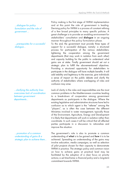…dialogue for policy formulation and the role of government …

…prerequisites for a successful dialogue…

…clarifying the authority lines overcomes lack of coordination between government departments…

…promotion of a common understanding of gains & a strategic plan to achieve them… Policy making is the first stage of IWRM implementation and at this point the role of government is leading. Devising policy for IWRM is a process of constant refining of a few broad principles to many specific policies. A great challenge is to provide an enabling environment for stakeholders' consultation and **dialogue** in an ongoing manner throughout the policy formulation phase.

To this end, the government must provide three types of support for a successful dialogue, namely: a structured process for participation of the various stakeholders; tightening the cooperation among the government departments (that may work in isolation from each other) and capacity building for the public to understand what gains are at stake. Finally government should set out a strategic plan to fulfill the abovementioned objectives. Providing a structured opportunity for stakeholders to participate in the dialogue will have multiple benefits. It will add stability and legitimacy to the exercise, give individuals a sense of impact on the public debate and clarify the authority of stakeholders where overlapping of roles and confusion may arise.

Lack of clarity in the roles and responsibilities are the most common problems in the Mediterranean countries leading to a break-down of cooperation among government departments as participants in the dialogue. Where the existing legislative and administrative structures have led to confusion as to which agent is the "referee" among the "players", as is often the case between the different Ministries involved in water management, typically those of the Environment, Agriculture, Energy and Development it is likely that departments will work in isolation rather than coordinate. In such cases it will be critical that all affected parties participate in a discussion to rationalize and improve the situation.

The government's role is also to promote a common understanding of **what** is to be gained and **how** it is to be achieved. Spreading an understanding of the gains may involve education, media campaigns, as well as selection of pilot projects chosen for their capacity to demonstrate IWRM in practice. The strategic policy and common vision on how to achieve gains at practical level may be facilitated by the adoption of a clear focus on priority actions; a set time-frame; a financial policy and a long-term commitment towards IWRM.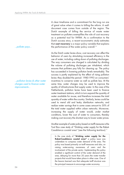…polluter pays…

…pollution levies & other water charges used to finance water improvements…

A clear timeframe and a commitment for the long run are of great value when it comes to billing the reform. A welldocument case comes from outside of the region. The Dutch example of billing the service of waste water treatment on polluters exemplifies the role of cost recovery as a potential tool for IWRM. As a confirmation to the Dutch success story, a recent econometric study estimates that **cost recovery** is a major policy variable that explains the performance of the water policy overall.<sup>14</sup>

As the Dutch water levies show, cost recovery can affect the behavior of users by stimulating increased efficiency in the use of water, including cutting down of polluting discharges. The way consumers are charged is calculated by dividing the volume of polluting discharges per inhabitant, which ensures that polluters pay fully for cleaning up. The policy has succeeded in lowering pollution levels remarkably. The success is partly explained by the effect of rising pollution levies -they doubled the period: 1980-1993 on consumers' incentives to conserve water as well as pollute less. At the same time, water charges may be used to improve the quality of infrastructures that supply water. In the case of the Netherlands, pollution levies have been used to finance water treatment stations, which in turn expand the quantity of water available for re-use, and therefore increases the total quantity of water within the country. Similarly, levies could be used to mend old and leaky distribution networks, and realize water savings that in some cases amount to 30% of the total water supplied within urban networks. Moreover, increasing the supply of water would, under market conditions, lower the cost of water to consumers, thereby making cost recovery the shortest way to lower water prices.

Another example of water policy based on tariff measures is the Tool Box case study of "Drinking water supply for the Rabat-Casablanca coastal area" (see the following text-box).<sup>11</sup>

In the case study of **"drinking water supply for the Rabat-Casablanca coastal area"** a policy issue was undertaken to compress water demand of the area. The policy was based primarily on tariff measures and also, on raising water-saving awareness of users and the involvement of the private sector. Implementing this policy enabled a significant control of the water demand of the area, delaying for more than 20 years the water transfer projects that would have taken place in other case. One of the lessons learned was that adequate tariff structure was the principal measure to encourage water economy.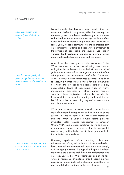#### 7.2 WATER LAW

…domestic water law: frequently an obstacle to IWRM…

…law for water quality & quantity, against water waste and commercial abuse of water rights…

…law can be a strong tool only if stakeholders know, want and comply with it…

Domestic water law has until quite recently been an obstacle to IWRM in many cases, either because rights of use were granted on a first-in-time/first-in-right basis or were tied to land tenure or because in the eyes of law, surface water had no connection to groundwater. However, in recent years, the legal community has made progress both on reconciliating outdated and rigid water right formats to the principle of "reasonable and equitable use" and in **viewing the hydrological systems as a whole**, where groundwaters affect surface waters and vice versa.

Apart from shedding light on "who owns what", the Water Law needs to answer the following questions that will guide the implementation of IWRM: what levels of pollution are acceptable? what protection is afforded? who protects the environment and other "voiceless" users' interests? how is compliance ensured? In addition to these, in a market oriented system for allocating water use rights, the law needs to address risks of socially unacceptable levels of speculative trade in rights, monopolistic practices, or other market failures. Together these legislative instruments provide the framework that ensures the ongoing implementation of IWRM i.e. rules on monitoring, regulation, compliance and dispute settlement.

Water law continues to evolve towards a more holistic view of watershed management, both in spirit and on the ground. A case in point is the EU Water Framework Directive (WFD), a unique forward-looking plan for integrated water resource management in European Union. WFD seeks to adopt catchment basins as a unit of management, improves the quality of water, adopts full cost recovery and for the first time, includes groundwater to the protected resource base.<sup>15</sup>

However, legislative reform including policy and administrative reform, will only work if the stakeholders, local, national and international know, want and comply with the legal provisions. This highlights the point that legal instruments are a strong tool if they are implemented and enforced. Law in the IWRM framework is a strong tool when it represents crystallized broad based political commitment to contribute to the change of social behavior and adopt stricter standards on the use of water.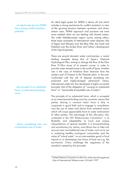…an ideal water law for IWRM has a strong conflict resolution potential …

An ideal legal system for IWRM is above all one which includes a strong mechanism for conflict resolution, in view of the growing tensions between up-stream and downstream users. IWRM approach and practices are even more needed when we are dealing with shared waters. The wider Mediterranean region counts, among others, three major examples of international water disputes, that of Egypt and Ethiopia over the Blue Nile, the Israel and Palestine over the Jordan River and Turkey's development of the Tigris-Euphrates.

There are several domestic water controversies, a recent leading example being that of Spain's National Hydrological Plan, aiming to diverge the flow of the Ebro River 912Km away of its present course, in order to provide water stressed areas in the south of Spain. Another one is the case of Acheloos River diversion from the western part of Greece to the Thessaly plain, in the east. Confronted with the risk of disputes escalating into polarized and highly-charged adversarial claims, international water law has developed a highly successful principle, that of the obligation of "causing no substantial harm" or "reasonable & equitable use of waters".

The principle of no substantial harm, which is accepted as an international binding norm by countries, means that parties sharing a common basin have a duty to cooperate in good faith and to engage in consultation over the use of water and refrain from unilateral action which will cause appreciable harm to water endowment of other parties. The advantage of this allocation rule, contained in the UN Watercourses Convention\* is its flexibility and adaptability to local and unique interpretations of riparian benefits. It is forward-looking and evolutionary by nature, and allows law to take into account new non-traditional uses of water, such as its use in sustaining healthy ecological communities and the value of "virtual water", as an inter-mediate good in food imports or in developing new forms of land use e.g. the eco-tourism. Critics challenge the vagueness of the standard created by this principle.

…the principle of no substantial harm, an international binding norm…

…allows considering new nonconventional uses of water…

<sup>\*</sup>United Nations Convention on the Law of the Non-Navigational

Uses of International Watercourses, 24 April 1997.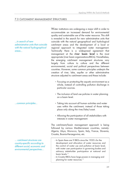# 7.3 CATCHMENT MANAGEMENT STRUCTURES

…in search of new administrative units that coincide with the natural hydrographical areas…

…common principles…

… catchment structures are country-specific according to different social, economic and environmental perspectives…

Water institutions are undergoing a major shift in order to accommodate an increased demand for environmental quality and sustainable use of the water resource. This shift is revealed in the search for new administrative units that coincide with the natural geographical and hydrological catchment areas and the development of a local or regional approach to integrated water management. Technically there is a widespread agreement that management at the **river basin level** is the most appropriate (river basin organizations-RBOs). Nonetheless, the emerging catchment management structures vary largely from culture to culture and the different environmental, social and political perspectives between countries. However, some common principles underpin the creation of river, lake, aquifer or other administrative structure adjusted to catchment areas and these include:

- Focusing on protecting the aquatic environment as a whole, instead of controlling pollution discharge in particular sources.
- The inclusion of land use policies in water planning on a basin level.
- Taking into account all human activities and water uses within the catchment, instead of those taking place only along the river/lake/coast.
- Allowing the participation of all stakeholders with interests in water management.

The catchment/basin management approach is being followed by various Mediterranean countries, namely: Algeria, Libya, Morocco, Spain, Italy, France, Slovenia, Croatia, Bosnia-Herzegovina, etc.

- In Spain there are 9 RBOs since the 1920's for the development and allocation of water resources and the control of water use and pollution at basin level, with water user participation in governing bodies and advisory stakeholder participation at national and basin levels.<sup>13</sup>
- In Croatia RBOs have large powers in managing and planning for water resources.<sup>13</sup>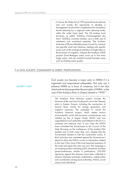- In France, the Water Act of 1992 gives the local authority and civil society the opportunity to develop a management structure that complements the mandatory broad planning by a regional water planning body, within the wider basin level. The 28 existing local structures, so called "Schemas d'Amenagement des Eaux" (SAGEs), currently initiated, vary in both size of catchment and vocational expertise. The Southern territories of Rhone (Mediterranean–Corse) for instance are typically small size initiatives, dealing with specific issues such as the ecological restitution of single lakes or the provision of irrigation, whereas the Northern SAGE projects (Loire–Bretagne area) cover up to five times larger areas, and are oriented towards broader issues such as drinking water quality.

# 7.4 CIVIL SOCIETY, COMMUNITY & USERS' PARTICIPATION

…people's water…

Civil society can become a major actor in IWRM if it is organized and empowered adequately. Not only can it enhance IWRM as a force of consensus, but it can also check policies that jeopardize the principles of IWRM, as the case of the Acheloos River in Greece (started in 1992).<sup>16</sup>

The Acheloos River diversion project involves the diversion of the river from its physical root to the Thessaly plain in Eastern Greece, including the construction of several dams- mainly for energy generation end irrigation purposes. The campaign to cancel the Acheloos diversion project, which implies serious environmental, social and economic consequences- was initiated by the 4 largest Greek NGOs and was supported by local authorities and lobbied in the EU in a continual and intensive way. In two cases the NGOs have committed the Government to the Council of the State (focusing on the inadequacy of the existing EIAs studies) and in both cases they won. Despite that the Government refused to halt the construction works. A third injunction was submitted against the Governance's denial to allow the NGOs access to information related to the river's flow (one of the most important questions of the case) and again the case was won. The campaign is an on-going project including public awareness activities (press-conferences, articles in publications; 320.000 signatures against the diversion have been collected in Greece, Germany and Italy), mobilization, collaboration and coordination among local authorities, NGOs, social sectors and individuals.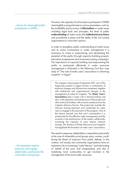…factors for meaningful public participation in IWRM…

However, the capacity of civil society to participate in IWRM meaningfully is proportionate to various parameters, such as: the availability and accuracy of **information** on water issues -including legal tools and principles; the level of public **understanding** of water issues; the **institutional provisions** and procedures in place and the ability of the civil society organizations to voice their opinion.

In order to strengthen public understanding of water issues and its active involvement in water management it is necessary to invest in empowering and developing the potential of the public through capacity building projects, education programmes and awareness-raising campaigns. The importance of capacity building and empowering the public to participate effectively in water resources management is illustrated in the following Tool Box case study of "The role of water users' associations in reforming irrigation" in Egypt.<sup>11</sup>

The Irrigation Improvement Programme (IIP), one of the large-scale projects in Egypt involves a combination of technical changes and infrastructure investment, together with institutional and organizational changes in the management of water for irrigation. The **Water Users' Associations** play a major role in decision-making and also, in the operation and maintenance of the pumps and other technical facilities, with minimal assistance from the Irrigation Advisory Service. The project also includes the intensive training (seminars and workshops) for water users to engage in the execution of the program. One of the lessons learned was that user's participation is a prerequisite for the effective water management and the increase in the performance of the system; additionally, increasing the capacity of users require intensive training. The Ministry of Water Resources and Irrigation has legalized the formation of water users' associations.

The need to empower stakeholders is imperative particularly in the case of vulnerable social groups -poor, women, youthfacing the threat of exclusion from public debate. In this context, civil society and community organizations have an important role in increasing "water literacy" and advocating on behalf of the poor and marginalized; and also in mobilizing local communities to get involved in the management of the local water resources.

…the imperative need to empower and engage stakeholders, particularly the vulnerable social groups…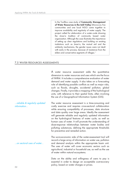In the ToolBox case study of **Community Management of Water Resources in the Imlil Valley** (Morocco), five communities and one local NGO came together to improve availability and regularity of water supply. The project called for elaboration of a water–code drawing the Jmaa'a tradition of community based water organization. Although the case illustrates the importance of setting up clear regulations and building on existing institutions such as Jmaa'a, the mutual aid and the solidarity mechanisms, the gender issues were not dealt with early in the process, because of resistance from the elders and conservative segments of villages.<sup>11</sup>

#### 7.5 WATER RESOURCES ASSESSMENTS

A water resource assessment adds the quantitative dimension to water resources and uses which are the focus of IWRM. It includes a comprehensive evaluation of water demand and water supply. It also takes on a forecasting role of identifying possible conflicts as well as major risks, such as floods, droughts, accidental pollution, global changes. Finally, it provides a mapping of the hydrological units, with reference to their spatial limits, often involving the use of a Geographical Information System (GIS).

The water resource assessment is a time-consuming and costly exercise and requires cross-sectoral collaboration while ensuring compatibility of processes, data structure and data quality over large areas. Ideally the assessment will generate reliable and regularly updated information on the hydrological features of water cycle, as well as human uses of water. It will promote the understanding of dose-response relationships between water bodies and polluting substances, defining the appropriate thresholds for preventive and remedial action. …reliable & regularly updated information…

> The socio-economic side of the water-assessment tool will record a large array of information on water use, pollution and demand analysis within the appropriate basin unit. The uses of water will cover economic sectors such as agricultural, industrial or household use, as well as the use of water within natural ecosystems.

Data on the ability and willingness of users to pay is essential in order to design an acceptable cost-recovery policy, based on water charges or prices.

…on sectoral uses of water…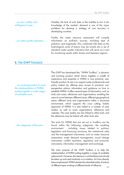| on user's ability and<br>willingness to pay | Notably, the lack of such data or the inability to turn it into<br>knowledge of the market's demand is one of the major<br>problems for devising a strategy of cost recovery in<br>developing countries.                                                                                                                                                        |
|---------------------------------------------|-----------------------------------------------------------------------------------------------------------------------------------------------------------------------------------------------------------------------------------------------------------------------------------------------------------------------------------------------------------------|
| on water quality indicators                 | Finally, the water resource assessment will compile<br>information on pollution sources, including type of<br>pollution, and magnitude. This, combined with data on the<br>hydrological cycle of basins may be turned into a set of<br>standard water quality indicators that will serve as a tool<br>for monitoring results within basins and between regions. |

#### **8. THE GWP TOOLBOX**

… an evolving product to assist the implementation of IWRM, putting together a wide range of available tools…

…the categories of the tools…

The GWP has developed the: "IWRM ToolBox", a dynamic and evolving product which draws together a wealth of experience and expertise in IWRM in one practical, userfriendly product. Its aim is to support water professionals and policy makers by offering easy access to practical, nonperspective advice, information and guidance on how to establish IWRM. It offers several types of information, such as tools and cases, references and organizations, enabling the users to move between different issues, different geographical areas, different tools and organisations within a structured environment, which supports the cross cutting, holistic approach of IWRM. It is also linked to a number of case studies, as well as some organisations, references and websites. The case studies are also linked to other tools, and the references may be linked with other tools also.

The tools for IWRM that are set out in ToolBox can be found within the following categories: the enabling environment - including issues related to policies, legislation and financing structures; the institutional roles and the management instruments, such as water resource assessment, water demand management, social change instruments, conflict resolution, regulatory and economic instruments, information management and exchange.

The main purpose of the GWP Toolbox is to help the implementation of IWRM putting together a range of available options-tools. However, the intension is not that these tools should be taken up and used randomly or in isolation. As it has already been emphasized, IWRM stresses the interrelationship of actions of different types working at different levels of influence.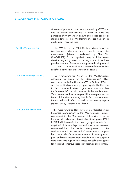# **9. MORE GWP PUBLICATIONS ON IWRM**

|                          | A series of products have been prepared by GWP-Med<br>and its partner-organisations in order to make the<br>principles of IWRM widely known and recognised by all<br>stakeholders in the Mediterranean, assisting in its<br>application. These include:                                                                                                                                                                                                                                                                                                                                                                                                                                                                                                                         |
|--------------------------|---------------------------------------------------------------------------------------------------------------------------------------------------------------------------------------------------------------------------------------------------------------------------------------------------------------------------------------------------------------------------------------------------------------------------------------------------------------------------------------------------------------------------------------------------------------------------------------------------------------------------------------------------------------------------------------------------------------------------------------------------------------------------------|
| the Mediterranean Vision | - The "Water for the 21st Century: Vision to Action,<br>Mediterranean vision on water, population and the<br>environment" (Vision), coordinated by Blue<br>Plan<br>(MAP/UNEP). This is a synthetic analysis of the present<br>situation regarding water in the region and it explores<br>possible scenarios for water management development till<br>2010 and 2025, concluding in a sustainable option which<br>is defined as the vision for water in the region.                                                                                                                                                                                                                                                                                                               |
| the Framework for Action | - The "Framework for Action for the Mediterranean:<br>Achieving the Vision for the Mediterranean" (FFA),<br>coordinated by the Mediterranean Water Network (MWN)<br>with the contribution from a group of experts. The FFA aims<br>to offer a framework action programme in order to achieve<br>the "sustainable" scenario described in the Mediterranean<br>Vision. Moreover, four sub-regional FFA were prepared on:<br>North of the Mediterranean, Middle East, Mediterranean<br>Islands and North Africa, as well as, four country reports<br>(Egypt, Tunisia, Morocco and Algeria).                                                                                                                                                                                        |
| the Core for Action Plan | - The "Core for Action Plan - Towards an Integrated Water<br>Resources Management in the Mediterranean Region",<br>coordinated by the Mediterranean Information Office for<br>Environment, Culture and Sustainable Development (MIO-<br>ECSDE) with the contributions from a group of experts. This is<br>a synthesis of the most important, until now, action plans and<br>recommendations<br>for<br>water<br>management<br>the<br>in<br>Mediterranean. It aims not to draft yet another action plan,<br>but rather to identify the common core of 15 existing action<br>plans and sets of recommendations where political support is<br>more likely in the region and use these as a solid starting point<br>for successful consensus-based joint initiatives and activities. |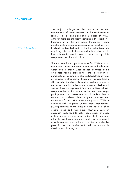# **CONCLUSIONS**

…IWRM is feasible…

The major challenge for the sustainable use and management of water resources in the Mediterranean region is the designing and implementation of IWRM. Although there are still many obstacles in this direction fragmentation of the institutional framework, supply oriented water management, socio-political constrains, etc. leading to irrational allocations of water- IWRM is not only a guiding principle. Its implementation is feasible and in fact, it is on its way in many countries. Many of its components are already in place.

The institutional and legal framework for IWRM exists in many cases: there are basin authorities and advanced water laws in many Mediterranean countries. Public awareness raising programmes and a tradition of participation of stakeholders also exists (e.g. through water associations) in other parts of the region. However, there is still a lot to be done by continuing the positive experiences and minimizing the problems and obstacles. IWRM will succeed if we manage to obtain a clear political will with comprehensive action where active and meaningful participation and involvement of all stakeholders is secured. In addition, there is great potential and opportunity for the Mediterranean region if IWRM is combined with Integrated Coastal Areas Management (ICAM) resulting to the integrated management of its coastal areas and river basins (ICARM). Such an approach could lead to better coordination of policy making, to actions across sectors and eventually, to a more rational use of the Mediterranean fragile resources, as well as of human resources and means, for the more effective protection of the environment and the sustainable development of the region.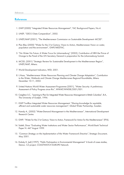#### **References**

- 1. GWP (2000) "Integrated Water Resources Management", TAC Background Papers, No.4.
- 2. UNEP, "GEO-3 Data Compendium", 2002.
- 3. UNEP/MAP (2001), "The Mediterranean Commission on Sustainable Development -MCSD".
- 4. Plan Bleu (2000) "Water for the 21st Century: Vision to Action, Mediterranean Vision on water, population and the environment", GWP/MEDTAC.
- 5. "No Water No Future: A Water Focus for Johannesburg" (2002), Contribution of HRH the Prince of Orange to the Panel of the UN Secretary General in preparation for the Johannesburg Summit.
- 6. MCSD, (2001) "Strategic Review for Sustainable Development in the Mediterranean Region", UNEP/MAP, Athens.
- 7. World Development Indicators, WDI, 2001.
- 8. L.Haas, "Mediterranean Water Resources Planning and Climate Change Adaptation", Contribution to the Water, Wetlands and Climate Change Mediterranea Regional Roundtable, Athens December 10-11, 2002.
- 9. United Nations World Water Assessment Programme (2001), "Water Security: A preliminary Assessment of Policy Progress since Rio", WWAP/WWDR/2001/001.
- 10. Creighton S.C., "Learning to Plan for Integrated Water Resources Management in British Columbia", B.A., The University of Guelph, 1994.
- 11. GWP ToolBox Integrated Water Resources Management "Sharing knowledge for equitable, efficient and sustainable water resources management", Global Water Partnership, Sweden.
- 12. Hamdy A., (2002) "Water-Demand Management in the Mediterranean", International Development Research Centre.
- 13. GWP, "Water for the 21st Century: Vision to Action, Framework for Action for the Mediterranean" (FFA).
- 14. Saleth, Dinar "Evaluating Water Institutions and Water Sector Performance", World Bank Technical Paper N. 447 August 1999.
- 15. "Common Strategy on the Implementation of the Water Framework Directive", Strategic Document, May 2001.
- 16. Dubsky K. (ed) (1997), "Public Participation in Environmental Management" A book of cases studies, Democ. CZ project, COASTWATCH EUROPE Network.